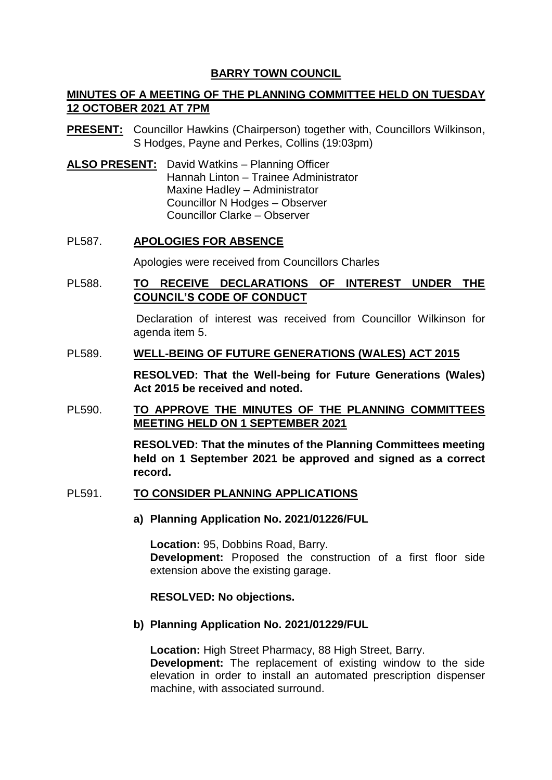## **BARRY TOWN COUNCIL**

# **MINUTES OF A MEETING OF THE PLANNING COMMITTEE HELD ON TUESDAY 12 OCTOBER 2021 AT 7PM**

- **PRESENT:** Councillor Hawkins (Chairperson) together with, Councillors Wilkinson, S Hodges, Payne and Perkes, Collins (19:03pm)
- **ALSO PRESENT:** David Watkins Planning Officer Hannah Linton – Trainee Administrator Maxine Hadley – Administrator Councillor N Hodges – Observer Councillor Clarke – Observer

## PL587. **APOLOGIES FOR ABSENCE**

Apologies were received from Councillors Charles

## PL588. **TO RECEIVE DECLARATIONS OF INTEREST UNDER THE COUNCIL'S CODE OF CONDUCT**

Declaration of interest was received from Councillor Wilkinson for agenda item 5.

### PL589. **WELL-BEING OF FUTURE GENERATIONS (WALES) ACT 2015**

**RESOLVED: That the Well-being for Future Generations (Wales) Act 2015 be received and noted.** 

PL590. **TO APPROVE THE MINUTES OF THE PLANNING COMMITTEES MEETING HELD ON 1 SEPTEMBER 2021**

> **RESOLVED: That the minutes of the Planning Committees meeting held on 1 September 2021 be approved and signed as a correct record.**

### PL591. **TO CONSIDER PLANNING APPLICATIONS**

**a) Planning Application No. 2021/01226/FUL**

**Location:** 95, Dobbins Road, Barry. **Development:** Proposed the construction of a first floor side extension above the existing garage.

### **RESOLVED: No objections.**

### **b) Planning Application No. 2021/01229/FUL**

**Location:** High Street Pharmacy, 88 High Street, Barry. **Development:** The replacement of existing window to the side elevation in order to install an automated prescription dispenser machine, with associated surround.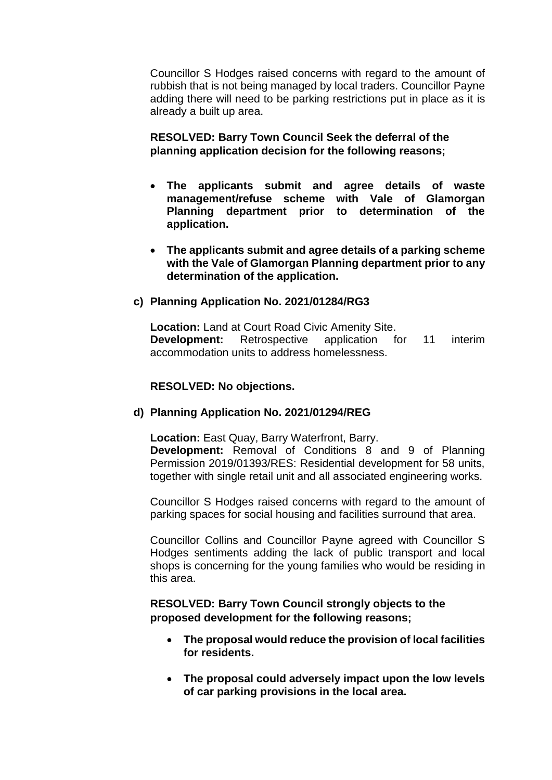Councillor S Hodges raised concerns with regard to the amount of rubbish that is not being managed by local traders. Councillor Payne adding there will need to be parking restrictions put in place as it is already a built up area.

## **RESOLVED: Barry Town Council Seek the deferral of the planning application decision for the following reasons;**

- **The applicants submit and agree details of waste management/refuse scheme with Vale of Glamorgan Planning department prior to determination of the application.**
- **The applicants submit and agree details of a parking scheme with the Vale of Glamorgan Planning department prior to any determination of the application.**

### **c) Planning Application No. 2021/01284/RG3**

**Location:** Land at Court Road Civic Amenity Site. **Development:** Retrospective application for 11 interim accommodation units to address homelessness.

### **RESOLVED: No objections.**

### **d) Planning Application No. 2021/01294/REG**

**Location:** East Quay, Barry Waterfront, Barry.

**Development:** Removal of Conditions 8 and 9 of Planning Permission 2019/01393/RES: Residential development for 58 units, together with single retail unit and all associated engineering works.

Councillor S Hodges raised concerns with regard to the amount of parking spaces for social housing and facilities surround that area.

Councillor Collins and Councillor Payne agreed with Councillor S Hodges sentiments adding the lack of public transport and local shops is concerning for the young families who would be residing in this area.

## **RESOLVED: Barry Town Council strongly objects to the proposed development for the following reasons;**

- **The proposal would reduce the provision of local facilities for residents.**
- **The proposal could adversely impact upon the low levels of car parking provisions in the local area.**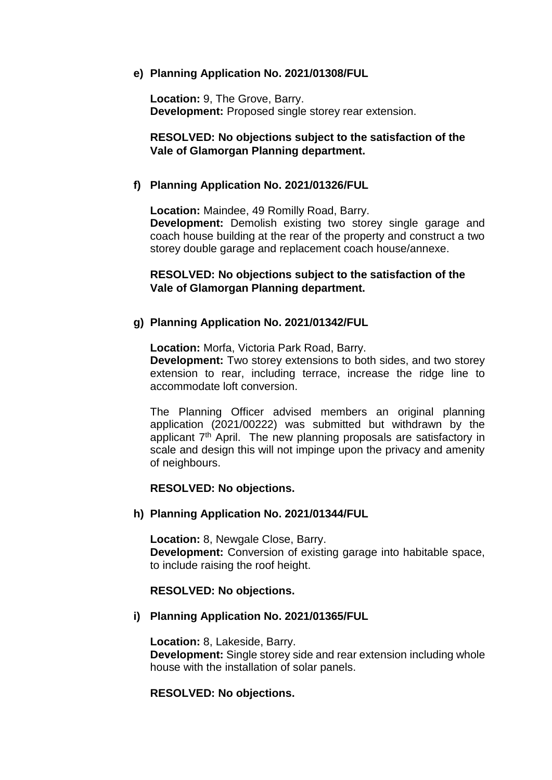### **e) Planning Application No. 2021/01308/FUL**

**Location:** 9, The Grove, Barry. **Development:** Proposed single storey rear extension.

## **RESOLVED: No objections subject to the satisfaction of the Vale of Glamorgan Planning department.**

### **f) Planning Application No. 2021/01326/FUL**

**Location:** Maindee, 49 Romilly Road, Barry. **Development:** Demolish existing two storey single garage and coach house building at the rear of the property and construct a two storey double garage and replacement coach house/annexe.

### **RESOLVED: No objections subject to the satisfaction of the Vale of Glamorgan Planning department.**

## **g) Planning Application No. 2021/01342/FUL**

**Location:** Morfa, Victoria Park Road, Barry.

**Development:** Two storey extensions to both sides, and two storey extension to rear, including terrace, increase the ridge line to accommodate loft conversion.

The Planning Officer advised members an original planning application (2021/00222) was submitted but withdrawn by the applicant  $7<sup>th</sup>$  April. The new planning proposals are satisfactory in scale and design this will not impinge upon the privacy and amenity of neighbours.

### **RESOLVED: No objections.**

### **h) Planning Application No. 2021/01344/FUL**

**Location:** 8, Newgale Close, Barry. **Development:** Conversion of existing garage into habitable space, to include raising the roof height.

### **RESOLVED: No objections.**

### **i) Planning Application No. 2021/01365/FUL**

**Location:** 8, Lakeside, Barry. **Development:** Single storey side and rear extension including whole house with the installation of solar panels.

## **RESOLVED: No objections.**